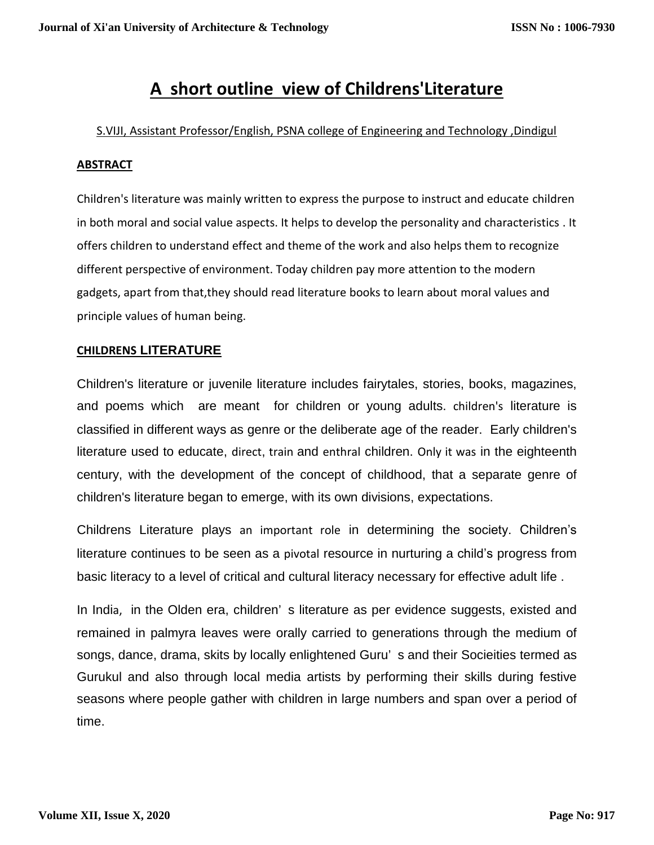# **A short outline view of Childrens'Literature**

### S.VIJI, Assistant Professor/English, PSNA college of Engineering and Technology ,Dindigul

#### **ABSTRACT**

Children's literature was mainly written to express the purpose to instruct and educate children in both moral and social value aspects. It helps to develop the personality and characteristics . It offers children to understand effect and theme of the work and also helps them to recognize different perspective of environment. Today children pay more attention to the modern gadgets, apart from that,they should read literature books to learn about moral values and principle values of human being.

## **CHILDRENS LITERATURE**

Children's literature or juvenile literature includes fairytales, stories, books, magazines, and poems which are meant for children or young adults. children's literature is classified in different ways as genre or the deliberate age of the reader. Early children's literature used to educate, direct, train and enthral children. Only it was in the eighteenth century, with the development of the concept of childhood, that a separate genre of children's literature began to emerge, with its own divisions, expectations.

Childrens Literature plays an important role in determining the society. Children's literature continues to be seen as a pivotal resource in nurturing a child's progress from basic literacy to a level of critical and cultural literacy necessary for effective adult life .

In India, in the Olden era, children's literature as per evidence suggests, existed and remained in palmyra leaves were orally carried to generations through the medium of songs, dance, drama, skits by locally enlightened Guru' s and their Socieities termed as Gurukul and also through local media artists by performing their skills during festive seasons where people gather with children in large numbers and span over a period of time.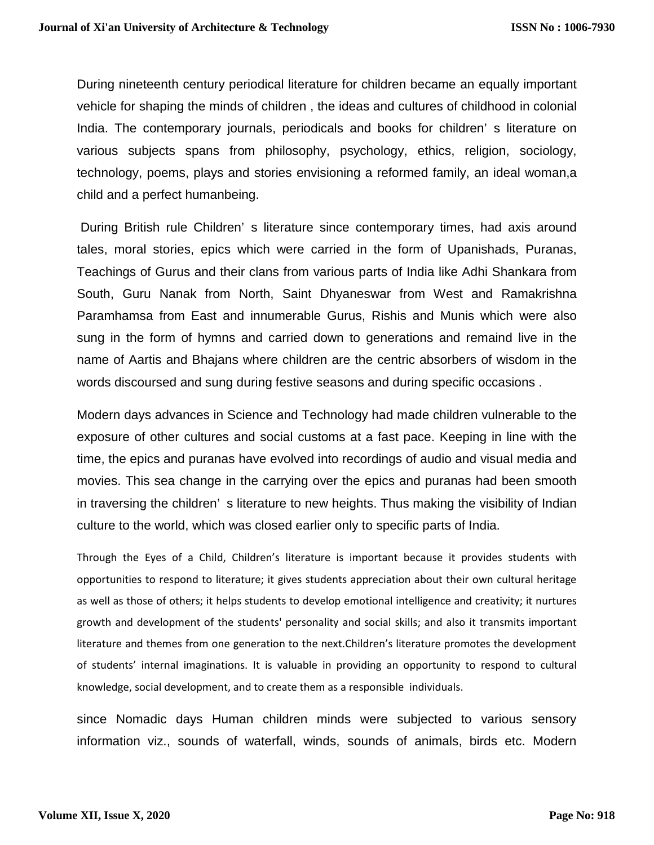During nineteenth century periodical literature for children became an equally important vehicle for shaping the minds of children , the ideas and cultures of childhood in colonial India. The contemporary journals, periodicals and books for children' s literature on various subjects spans from philosophy, psychology, ethics, religion, sociology, technology, poems, plays and stories envisioning a reformed family, an ideal woman,a child and a perfect humanbeing.

During British rule Children' s literature since contemporary times, had axis around tales, moral stories, epics which were carried in the form of Upanishads, Puranas, Teachings of Gurus and their clans from various parts of India like Adhi Shankara from South, Guru Nanak from North, Saint Dhyaneswar from West and Ramakrishna Paramhamsa from East and innumerable Gurus, Rishis and Munis which were also sung in the form of hymns and carried down to generations and remaind live in the name of Aartis and Bhajans where children are the centric absorbers of wisdom in the words discoursed and sung during festive seasons and during specific occasions .

Modern days advances in Science and Technology had made children vulnerable to the exposure of other cultures and social customs at a fast pace. Keeping in line with the time, the epics and puranas have evolved into recordings of audio and visual media and movies. This sea change in the carrying over the epics and puranas had been smooth in traversing the children' s literature to new heights. Thus making the visibility of Indian culture to the world, which was closed earlier only to specific parts of India.

Through the Eyes of a Child, Children's literature is important because it provides students with opportunities to respond to literature; it gives students appreciation about their own cultural heritage as well as those of others; it helps students to develop emotional intelligence and creativity; it nurtures growth and development of the students' personality and social skills; and also it transmits important literature and themes from one generation to the next.Children's literature promotes the development of students' internal imaginations. It is valuable in providing an opportunity to respond to cultural knowledge, social development, and to create them as a responsible individuals.

since Nomadic days Human children minds were subjected to various sensory information viz., sounds of waterfall, winds, sounds of animals, birds etc. Modern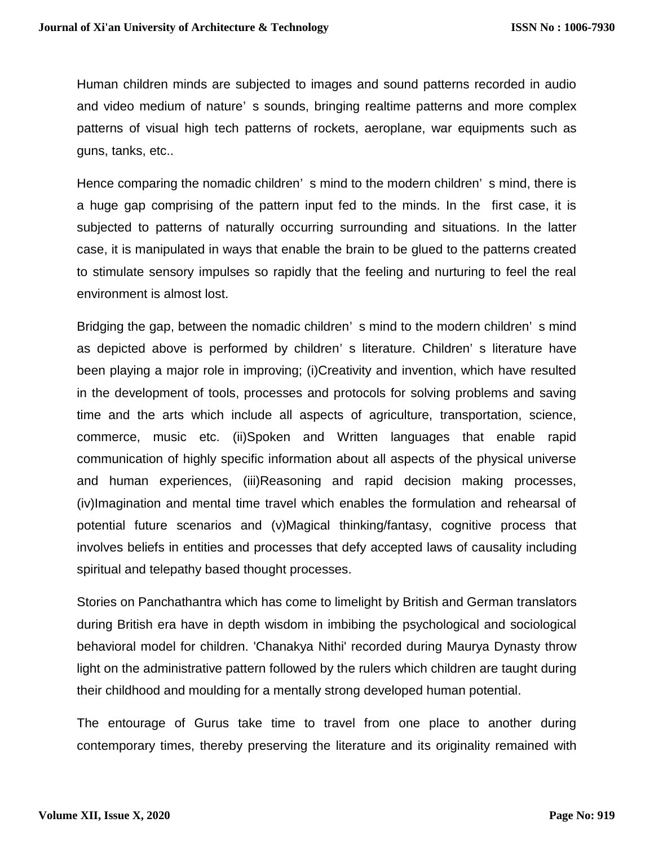Human children minds are subjected to images and sound patterns recorded in audio and video medium of nature' s sounds, bringing realtime patterns and more complex patterns of visual high tech patterns of rockets, aeroplane, war equipments such as guns, tanks, etc..

Hence comparing the nomadic children' s mind to the modern children' s mind, there is a huge gap comprising of the pattern input fed to the minds. In the first case, it is subjected to patterns of naturally occurring surrounding and situations. In the latter case, it is manipulated in ways that enable the brain to be glued to the patterns created to stimulate sensory impulses so rapidly that the feeling and nurturing to feel the real environment is almost lost.

Bridging the gap, between the nomadic children' s mind to the modern children' s mind as depicted above is performed by children' s literature. Children' s literature have been playing a major role in improving; (i)Creativity and invention, which have resulted in the development of tools, processes and protocols for solving problems and saving time and the arts which include all aspects of agriculture, transportation, science, commerce, music etc. (ii)Spoken and Written languages that enable rapid communication of highly specific information about all aspects of the physical universe and human experiences, (iii)Reasoning and rapid decision making processes, (iv)Imagination and mental time travel which enables the formulation and rehearsal of potential future scenarios and (v)Magical thinking/fantasy, cognitive process that involves beliefs in entities and processes that defy accepted laws of causality including spiritual and telepathy based thought processes.

Stories on Panchathantra which has come to limelight by British and German translators during British era have in depth wisdom in imbibing the psychological and sociological behavioral model for children. 'Chanakya Nithi' recorded during Maurya Dynasty throw light on the administrative pattern followed by the rulers which children are taught during their childhood and moulding for a mentally strong developed human potential.

The entourage of Gurus take time to travel from one place to another during contemporary times, thereby preserving the literature and its originality remained with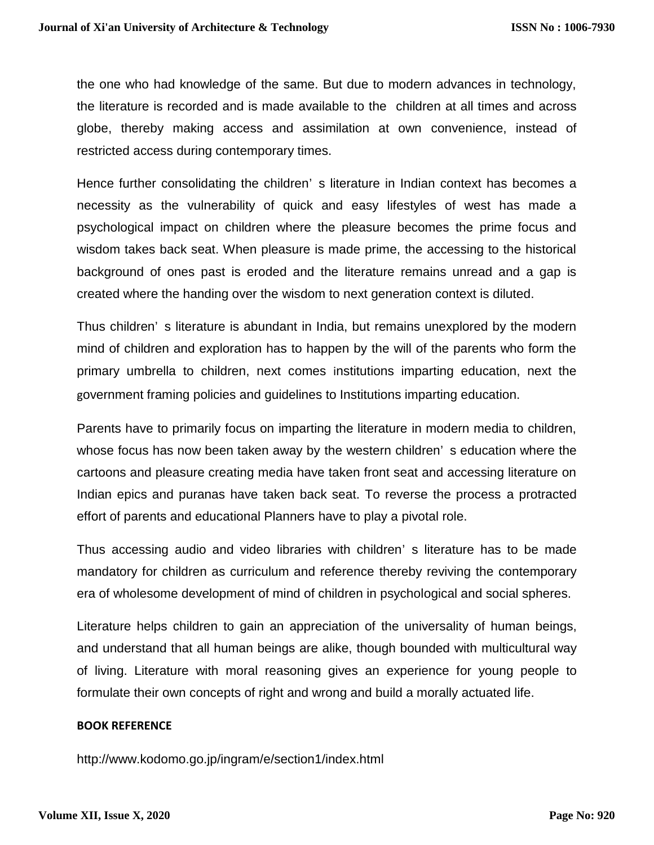the one who had knowledge of the same. But due to modern advances in technology, the literature is recorded and is made available to the children at all times and across globe, thereby making access and assimilation at own convenience, instead of restricted access during contemporary times.

Hence further consolidating the children' s literature in Indian context has becomes a necessity as the vulnerability of quick and easy lifestyles of west has made a psychological impact on children where the pleasure becomes the prime focus and wisdom takes back seat. When pleasure is made prime, the accessing to the historical background of ones past is eroded and the literature remains unread and a gap is created where the handing over the wisdom to next generation context is diluted.

Thus children' s literature is abundant in India, but remains unexplored by the modern mind of children and exploration has to happen by the will of the parents who form the primary umbrella to children, next comes institutions imparting education, next the government framing policies and guidelines to Institutions imparting education.

Parents have to primarily focus on imparting the literature in modern media to children, whose focus has now been taken away by the western children' s education where the cartoons and pleasure creating media have taken front seat and accessing literature on Indian epics and puranas have taken back seat. To reverse the process a protracted effort of parents and educational Planners have to play a pivotal role.

Thus accessing audio and video libraries with children' s literature has to be made mandatory for children as curriculum and reference thereby reviving the contemporary era of wholesome development of mind of children in psychological and social spheres.

Literature helps children to gain an appreciation of the universality of human beings, and understand that all human beings are alike, though bounded with multicultural way of living. Literature with moral reasoning gives an experience for young people to formulate their own concepts of right and wrong and build a morally actuated life.

#### **BOOK REFERENCE**

http://www.kodomo.go.jp/ingram/e/section1/index.html